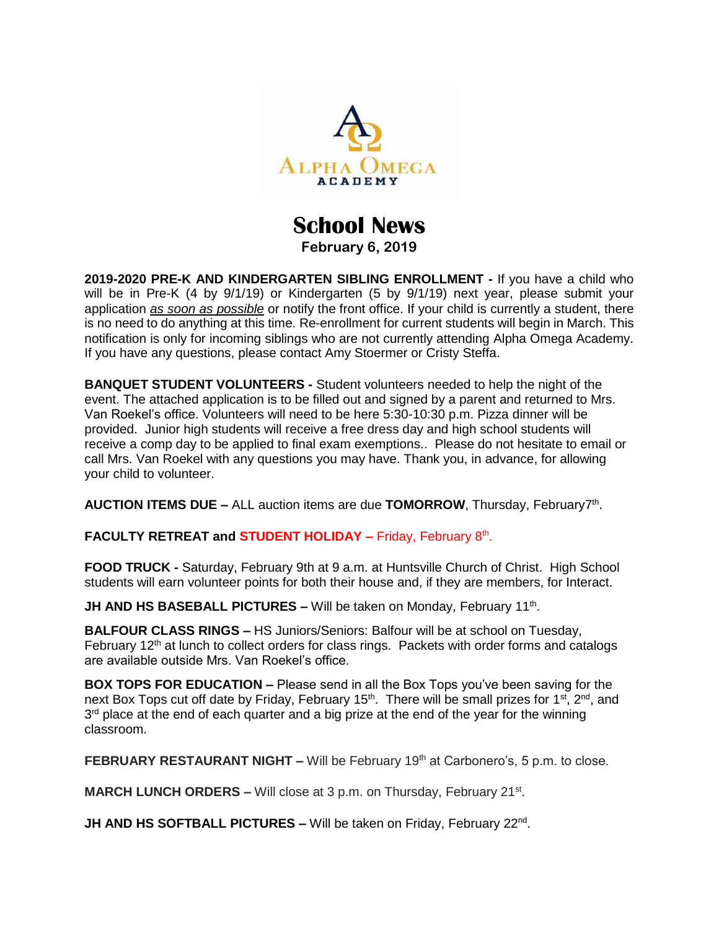

## **School News February 6, 2019**

**2019-2020 PRE-K AND KINDERGARTEN SIBLING ENROLLMENT -** If you have a child who will be in Pre-K (4 by 9/1/19) or Kindergarten (5 by 9/1/19) next year, please submit your application *as soon as possible* or notify the front office. If your child is currently a student, there is no need to do anything at this time. Re-enrollment for current students will begin in March. This notification is only for incoming siblings who are not currently attending Alpha Omega Academy. If you have any questions, please contact Amy Stoermer or Cristy Steffa.

**BANQUET STUDENT VOLUNTEERS -** Student volunteers needed to help the night of the event. The attached application is to be filled out and signed by a parent and returned to Mrs. Van Roekel's office. Volunteers will need to be here 5:30-10:30 p.m. Pizza dinner will be provided. Junior high students will receive a free dress day and high school students will receive a comp day to be applied to final exam exemptions.. Please do not hesitate to email or call Mrs. Van Roekel with any questions you may have. Thank you, in advance, for allowing your child to volunteer.

AUCTION ITEMS DUE - ALL auction items are due TOMORROW, Thursday, February7<sup>th</sup>.

FACULTY RETREAT and **STUDENT HOLIDAY** - Friday, February 8<sup>th</sup>.

**FOOD TRUCK -** Saturday, February 9th at 9 a.m. at Huntsville Church of Christ. High School students will earn volunteer points for both their house and, if they are members, for Interact.

**JH AND HS BASEBALL PICTURES –** Will be taken on Monday, February 11<sup>th</sup>.

**BALFOUR CLASS RINGS –** HS Juniors/Seniors: Balfour will be at school on Tuesday, February 12<sup>th</sup> at lunch to collect orders for class rings. Packets with order forms and catalogs are available outside Mrs. Van Roekel's office.

**BOX TOPS FOR EDUCATION –** Please send in all the Box Tops you've been saving for the next Box Tops cut off date by Friday, February 15<sup>th</sup>. There will be small prizes for 1<sup>st</sup>, 2<sup>nd</sup>, and  $3<sup>rd</sup>$  place at the end of each quarter and a big prize at the end of the year for the winning classroom.

**FEBRUARY RESTAURANT NIGHT –** Will be February 19<sup>th</sup> at Carbonero's, 5 p.m. to close.

**MARCH LUNCH ORDERS - Will close at 3 p.m. on Thursday, February 21<sup>st</sup>.** 

**JH AND HS SOFTBALL PICTURES - Will be taken on Friday, February 22<sup>nd</sup>.**